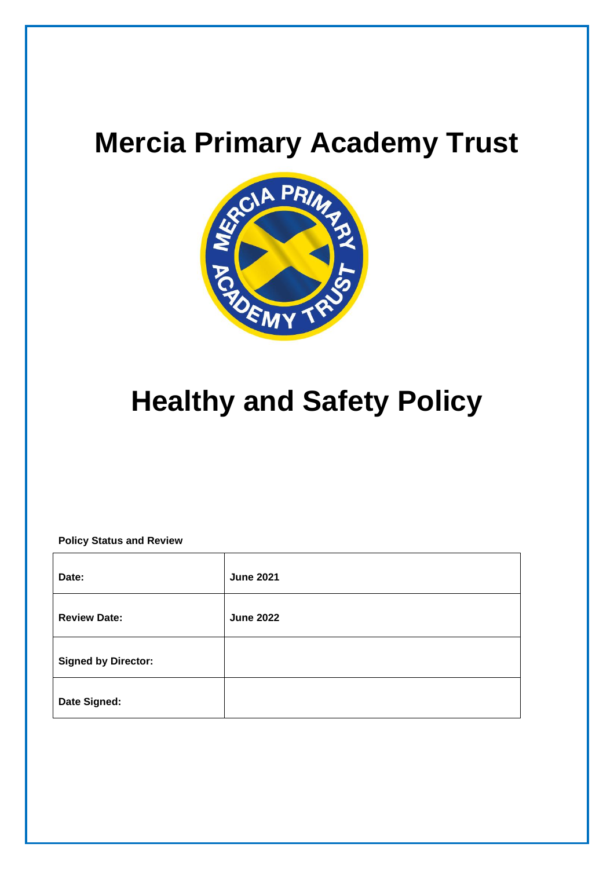

# **Healthy and Safety Policy**

#### **Policy Status and Review**

| Date:                      | <b>June 2021</b> |
|----------------------------|------------------|
| <b>Review Date:</b>        | <b>June 2022</b> |
| <b>Signed by Director:</b> |                  |
| Date Signed:               |                  |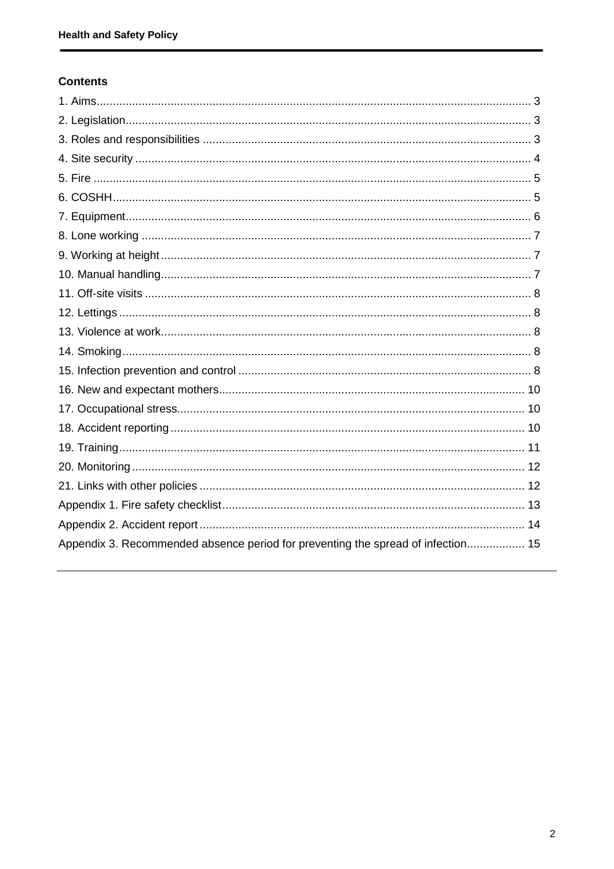# **Contents**

| Appendix 3. Recommended absence period for preventing the spread of infection 15 |  |
|----------------------------------------------------------------------------------|--|
|                                                                                  |  |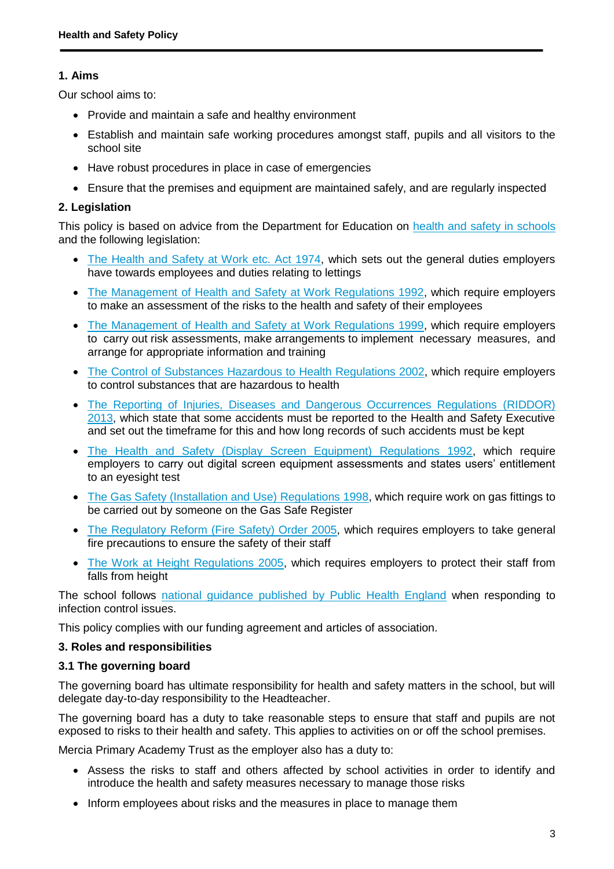# **1. Aims**

Our school aims to:

- Provide and maintain a safe and healthy environment
- Establish and maintain safe working procedures amongst staff, pupils and all visitors to the school site
- Have robust procedures in place in case of emergencies
- Ensure that the premises and equipment are maintained safely, and are regularly inspected

# **2. Legislation**

This policy is based on advice from the Department for Education on [health and safety in schools](https://www.gov.uk/government/publications/health-and-safety-advice-for-schools) and the following legislation:

- [The Health and Safety at Work etc. Act 1974,](http://www.legislation.gov.uk/ukpga/1974/37) which sets out the general duties employers have towards employees and duties relating to lettings
- [The Management of Health and Safety at Work Regulations 1992,](http://www.legislation.gov.uk/uksi/1992/2051/regulation/3/made) which require employers to make an assessment of the risks to the health and safety of their employees
- [The Management of Health and Safety at Work Regulations 1999,](http://www.legislation.gov.uk/uksi/1999/3242/contents/made) which require employers to carry out risk assessments, make arrangements to implement necessary measures, and arrange for appropriate information and training
- [The Control of Substances Hazardous to Health Regulations 2002,](http://www.legislation.gov.uk/uksi/2002/2677/contents/made) which require employers to control substances that are hazardous to health
- [The Reporting of Injuries, Diseases and Dangerous Occurrences Regulations](http://www.legislation.gov.uk/uksi/2013/1471/schedule/1/paragraph/1/made) (RIDDOR) [2013,](http://www.legislation.gov.uk/uksi/2013/1471/schedule/1/paragraph/1/made) which state that some accidents must be reported to the Health and Safety Executive and set out the timeframe for this and how long records of such accidents must be kept
- [The Health and Safety \(Display Screen Equipment\) Regulations 1992,](http://www.legislation.gov.uk/uksi/1992/2792/contents/made) which require employers to carry out digital screen equipment assessments and states users' entitlement to an eyesight test
- [The Gas Safety \(Installation and Use\) Regulations 1998,](http://www.legislation.gov.uk/uksi/1998/2451/regulation/4/made) which require work on gas fittings to be carried out by someone on the Gas Safe Register
- [The Regulatory Reform \(Fire Safety\) Order 2005,](http://www.legislation.gov.uk/uksi/2005/1541/part/2/made) which requires employers to take general fire precautions to ensure the safety of their staff
- [The Work at Height Regulations 2005,](http://www.legislation.gov.uk/uksi/2005/735/contents/made) which requires employers to protect their staff from falls from height

The school follows [national guidance published by Public Health England](https://www.gov.uk/government/uploads/system/uploads/attachment_data/file/522337/Guidance_on_infection_control_in_schools.pdf) when responding to infection control issues.

This policy complies with our funding agreement and articles of association.

## **3. Roles and responsibilities**

## **3.1 The governing board**

The governing board has ultimate responsibility for health and safety matters in the school, but will delegate day-to-day responsibility to the Headteacher.

The governing board has a duty to take reasonable steps to ensure that staff and pupils are not exposed to risks to their health and safety. This applies to activities on or off the school premises.

Mercia Primary Academy Trust as the employer also has a duty to:

- Assess the risks to staff and others affected by school activities in order to identify and introduce the health and safety measures necessary to manage those risks
- Inform employees about risks and the measures in place to manage them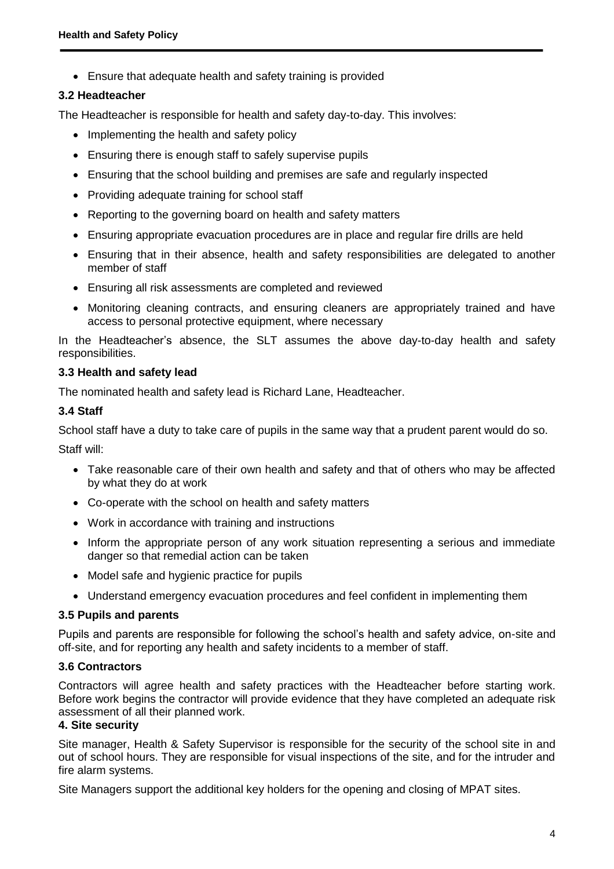Ensure that adequate health and safety training is provided

#### **3.2 Headteacher**

The Headteacher is responsible for health and safety day-to-day. This involves:

- Implementing the health and safety policy
- Ensuring there is enough staff to safely supervise pupils
- Ensuring that the school building and premises are safe and regularly inspected
- Providing adequate training for school staff
- Reporting to the governing board on health and safety matters
- Ensuring appropriate evacuation procedures are in place and regular fire drills are held
- Ensuring that in their absence, health and safety responsibilities are delegated to another member of staff
- Ensuring all risk assessments are completed and reviewed
- Monitoring cleaning contracts, and ensuring cleaners are appropriately trained and have access to personal protective equipment, where necessary

In the Headteacher's absence, the SLT assumes the above day-to-day health and safety responsibilities.

#### **3.3 Health and safety lead**

The nominated health and safety lead is Richard Lane, Headteacher.

#### **3.4 Staff**

School staff have a duty to take care of pupils in the same way that a prudent parent would do so.

Staff will:

- Take reasonable care of their own health and safety and that of others who may be affected by what they do at work
- Co-operate with the school on health and safety matters
- Work in accordance with training and instructions
- Inform the appropriate person of any work situation representing a serious and immediate danger so that remedial action can be taken
- Model safe and hygienic practice for pupils
- Understand emergency evacuation procedures and feel confident in implementing them

#### **3.5 Pupils and parents**

Pupils and parents are responsible for following the school's health and safety advice, on-site and off-site, and for reporting any health and safety incidents to a member of staff.

#### **3.6 Contractors**

Contractors will agree health and safety practices with the Headteacher before starting work. Before work begins the contractor will provide evidence that they have completed an adequate risk assessment of all their planned work.

#### **4. Site security**

Site manager, Health & Safety Supervisor is responsible for the security of the school site in and out of school hours. They are responsible for visual inspections of the site, and for the intruder and fire alarm systems.

Site Managers support the additional key holders for the opening and closing of MPAT sites.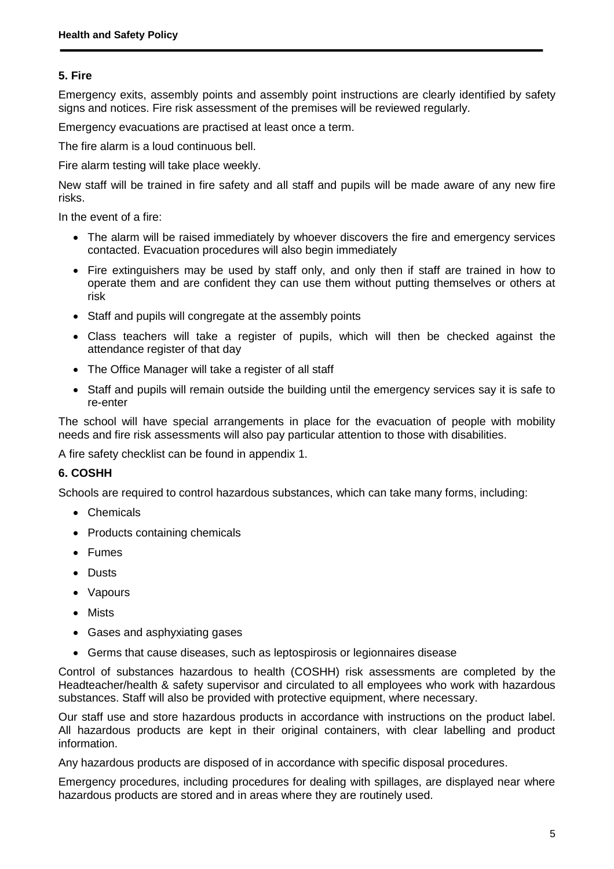# **5. Fire**

Emergency exits, assembly points and assembly point instructions are clearly identified by safety signs and notices. Fire risk assessment of the premises will be reviewed regularly.

Emergency evacuations are practised at least once a term.

The fire alarm is a loud continuous bell.

Fire alarm testing will take place weekly.

New staff will be trained in fire safety and all staff and pupils will be made aware of any new fire risks.

In the event of a fire:

- The alarm will be raised immediately by whoever discovers the fire and emergency services contacted. Evacuation procedures will also begin immediately
- Fire extinguishers may be used by staff only, and only then if staff are trained in how to operate them and are confident they can use them without putting themselves or others at risk
- Staff and pupils will congregate at the assembly points
- Class teachers will take a register of pupils, which will then be checked against the attendance register of that day
- The Office Manager will take a register of all staff
- Staff and pupils will remain outside the building until the emergency services say it is safe to re-enter

The school will have special arrangements in place for the evacuation of people with mobility needs and fire risk assessments will also pay particular attention to those with disabilities.

A fire safety checklist can be found in appendix 1.

#### **6. COSHH**

Schools are required to control hazardous substances, which can take many forms, including:

- Chemicals
- Products containing chemicals
- Fumes
- Dusts
- Vapours
- Mists
- Gases and asphyxiating gases
- Germs that cause diseases, such as leptospirosis or legionnaires disease

Control of substances hazardous to health (COSHH) risk assessments are completed by the Headteacher/health & safety supervisor and circulated to all employees who work with hazardous substances. Staff will also be provided with protective equipment, where necessary.

Our staff use and store hazardous products in accordance with instructions on the product label. All hazardous products are kept in their original containers, with clear labelling and product information.

Any hazardous products are disposed of in accordance with specific disposal procedures.

Emergency procedures, including procedures for dealing with spillages, are displayed near where hazardous products are stored and in areas where they are routinely used.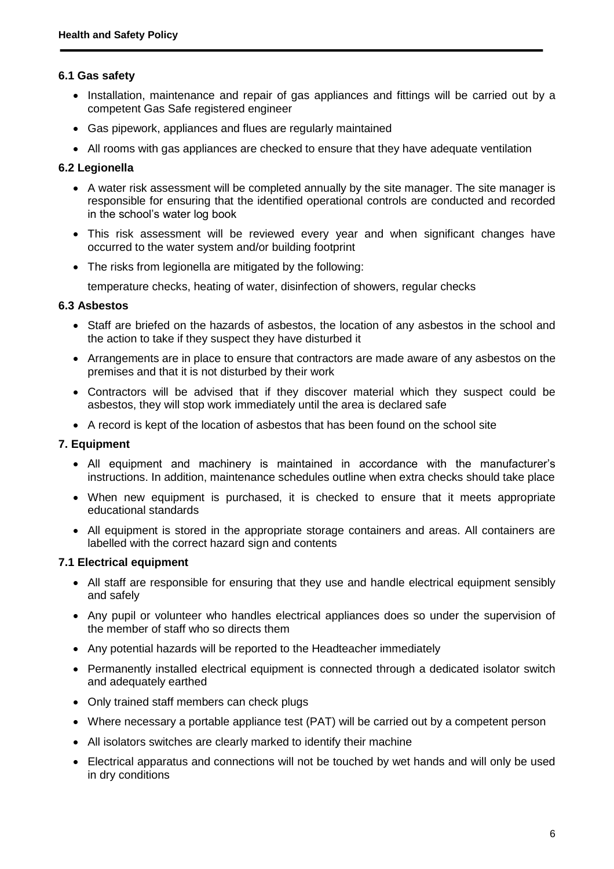#### **6.1 Gas safety**

- Installation, maintenance and repair of gas appliances and fittings will be carried out by a competent Gas Safe registered engineer
- Gas pipework, appliances and flues are regularly maintained
- All rooms with gas appliances are checked to ensure that they have adequate ventilation

#### **6.2 Legionella**

- A water risk assessment will be completed annually by the site manager. The site manager is responsible for ensuring that the identified operational controls are conducted and recorded in the school's water log book
- This risk assessment will be reviewed every year and when significant changes have occurred to the water system and/or building footprint
- The risks from legionella are mitigated by the following:

temperature checks, heating of water, disinfection of showers, regular checks

#### **6.3 Asbestos**

- Staff are briefed on the hazards of asbestos, the location of any asbestos in the school and the action to take if they suspect they have disturbed it
- Arrangements are in place to ensure that contractors are made aware of any asbestos on the premises and that it is not disturbed by their work
- Contractors will be advised that if they discover material which they suspect could be asbestos, they will stop work immediately until the area is declared safe
- A record is kept of the location of asbestos that has been found on the school site

#### **7. Equipment**

- All equipment and machinery is maintained in accordance with the manufacturer's instructions. In addition, maintenance schedules outline when extra checks should take place
- When new equipment is purchased, it is checked to ensure that it meets appropriate educational standards
- All equipment is stored in the appropriate storage containers and areas. All containers are labelled with the correct hazard sign and contents

#### **7.1 Electrical equipment**

- All staff are responsible for ensuring that they use and handle electrical equipment sensibly and safely
- Any pupil or volunteer who handles electrical appliances does so under the supervision of the member of staff who so directs them
- Any potential hazards will be reported to the Headteacher immediately
- Permanently installed electrical equipment is connected through a dedicated isolator switch and adequately earthed
- Only trained staff members can check plugs
- Where necessary a portable appliance test (PAT) will be carried out by a competent person
- All isolators switches are clearly marked to identify their machine
- Electrical apparatus and connections will not be touched by wet hands and will only be used in dry conditions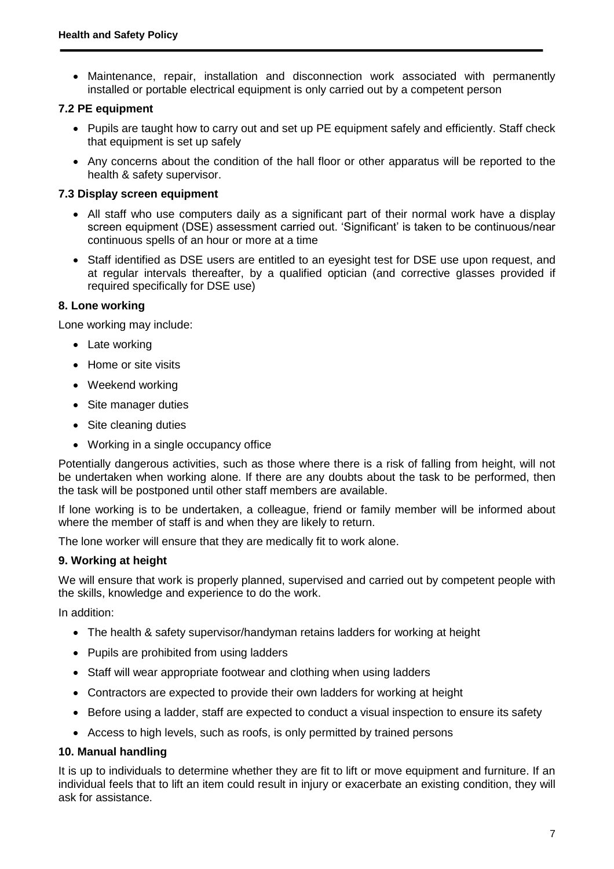• Maintenance, repair, installation and disconnection work associated with permanently installed or portable electrical equipment is only carried out by a competent person

#### **7.2 PE equipment**

- Pupils are taught how to carry out and set up PE equipment safely and efficiently. Staff check that equipment is set up safely
- Any concerns about the condition of the hall floor or other apparatus will be reported to the health & safety supervisor.

#### **7.3 Display screen equipment**

- All staff who use computers daily as a significant part of their normal work have a display screen equipment (DSE) assessment carried out. 'Significant' is taken to be continuous/near continuous spells of an hour or more at a time
- Staff identified as DSE users are entitled to an eyesight test for DSE use upon request, and at regular intervals thereafter, by a qualified optician (and corrective glasses provided if required specifically for DSE use)

#### **8. Lone working**

Lone working may include:

- Late working
- Home or site visits
- Weekend working
- Site manager duties
- Site cleaning duties
- Working in a single occupancy office

Potentially dangerous activities, such as those where there is a risk of falling from height, will not be undertaken when working alone. If there are any doubts about the task to be performed, then the task will be postponed until other staff members are available.

If lone working is to be undertaken, a colleague, friend or family member will be informed about where the member of staff is and when they are likely to return.

The lone worker will ensure that they are medically fit to work alone.

#### **9. Working at height**

We will ensure that work is properly planned, supervised and carried out by competent people with the skills, knowledge and experience to do the work.

In addition:

- The health & safety supervisor/handyman retains ladders for working at height
- Pupils are prohibited from using ladders
- Staff will wear appropriate footwear and clothing when using ladders
- Contractors are expected to provide their own ladders for working at height
- Before using a ladder, staff are expected to conduct a visual inspection to ensure its safety
- Access to high levels, such as roofs, is only permitted by trained persons

#### **10. Manual handling**

It is up to individuals to determine whether they are fit to lift or move equipment and furniture. If an individual feels that to lift an item could result in injury or exacerbate an existing condition, they will ask for assistance.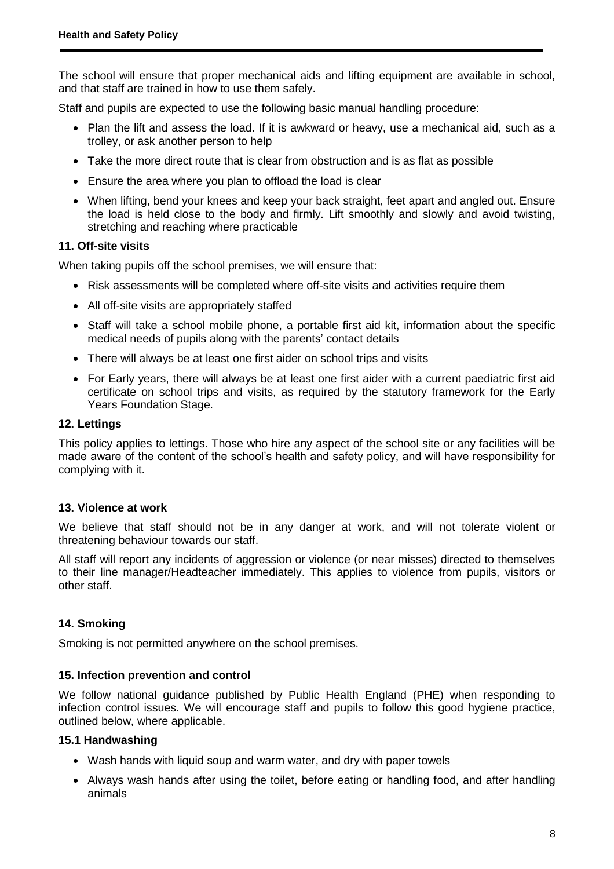The school will ensure that proper mechanical aids and lifting equipment are available in school, and that staff are trained in how to use them safely.

Staff and pupils are expected to use the following basic manual handling procedure:

- Plan the lift and assess the load. If it is awkward or heavy, use a mechanical aid, such as a trolley, or ask another person to help
- Take the more direct route that is clear from obstruction and is as flat as possible
- Ensure the area where you plan to offload the load is clear
- When lifting, bend your knees and keep your back straight, feet apart and angled out. Ensure the load is held close to the body and firmly. Lift smoothly and slowly and avoid twisting, stretching and reaching where practicable

#### **11. Off-site visits**

When taking pupils off the school premises, we will ensure that:

- Risk assessments will be completed where off-site visits and activities require them
- All off-site visits are appropriately staffed
- Staff will take a school mobile phone, a portable first aid kit, information about the specific medical needs of pupils along with the parents' contact details
- There will always be at least one first aider on school trips and visits
- For Early years, there will always be at least one first aider with a current paediatric first aid certificate on school trips and visits, as required by the statutory framework for the Early Years Foundation Stage.

#### **12. Lettings**

This policy applies to lettings. Those who hire any aspect of the school site or any facilities will be made aware of the content of the school's health and safety policy, and will have responsibility for complying with it.

#### **13. Violence at work**

We believe that staff should not be in any danger at work, and will not tolerate violent or threatening behaviour towards our staff.

All staff will report any incidents of aggression or violence (or near misses) directed to themselves to their line manager/Headteacher immediately. This applies to violence from pupils, visitors or other staff.

#### **14. Smoking**

Smoking is not permitted anywhere on the school premises.

#### **15. Infection prevention and control**

We follow national guidance published by Public Health England (PHE) when responding to infection control issues. We will encourage staff and pupils to follow this good hygiene practice, outlined below, where applicable.

#### **15.1 Handwashing**

- Wash hands with liquid soup and warm water, and dry with paper towels
- Always wash hands after using the toilet, before eating or handling food, and after handling animals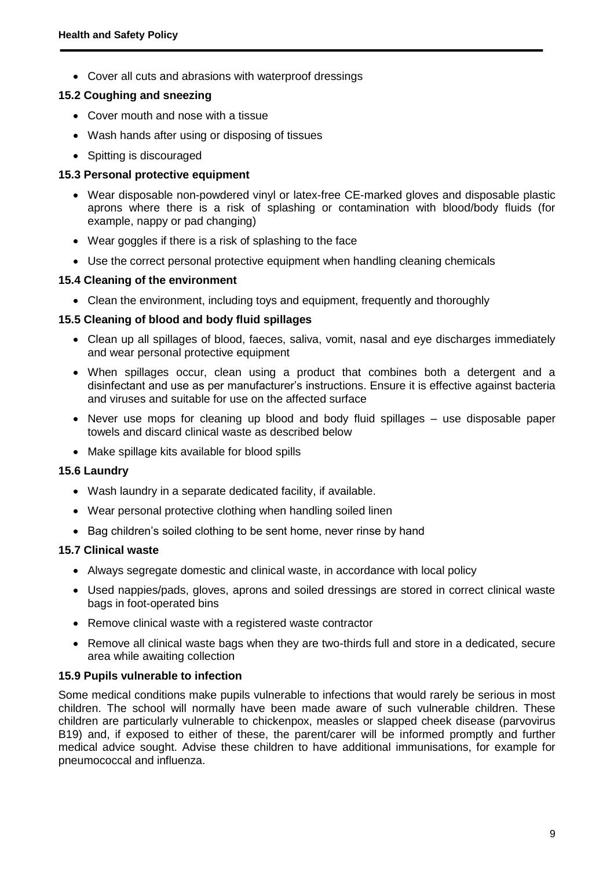Cover all cuts and abrasions with waterproof dressings

#### **15.2 Coughing and sneezing**

- Cover mouth and nose with a tissue
- Wash hands after using or disposing of tissues
- Spitting is discouraged

#### **15.3 Personal protective equipment**

- Wear disposable non-powdered vinyl or latex-free CE-marked gloves and disposable plastic aprons where there is a risk of splashing or contamination with blood/body fluids (for example, nappy or pad changing)
- Wear goggles if there is a risk of splashing to the face
- Use the correct personal protective equipment when handling cleaning chemicals

#### **15.4 Cleaning of the environment**

• Clean the environment, including toys and equipment, frequently and thoroughly

#### **15.5 Cleaning of blood and body fluid spillages**

- Clean up all spillages of blood, faeces, saliva, vomit, nasal and eye discharges immediately and wear personal protective equipment
- When spillages occur, clean using a product that combines both a detergent and a disinfectant and use as per manufacturer's instructions. Ensure it is effective against bacteria and viruses and suitable for use on the affected surface
- Never use mops for cleaning up blood and body fluid spillages use disposable paper towels and discard clinical waste as described below
- Make spillage kits available for blood spills

#### **15.6 Laundry**

- Wash laundry in a separate dedicated facility, if available.
- Wear personal protective clothing when handling soiled linen
- Bag children's soiled clothing to be sent home, never rinse by hand

#### **15.7 Clinical waste**

- Always segregate domestic and clinical waste, in accordance with local policy
- Used nappies/pads, gloves, aprons and soiled dressings are stored in correct clinical waste bags in foot-operated bins
- Remove clinical waste with a registered waste contractor
- Remove all clinical waste bags when they are two-thirds full and store in a dedicated, secure area while awaiting collection

#### **15.9 Pupils vulnerable to infection**

Some medical conditions make pupils vulnerable to infections that would rarely be serious in most children. The school will normally have been made aware of such vulnerable children. These children are particularly vulnerable to chickenpox, measles or slapped cheek disease (parvovirus B19) and, if exposed to either of these, the parent/carer will be informed promptly and further medical advice sought. Advise these children to have additional immunisations, for example for pneumococcal and influenza.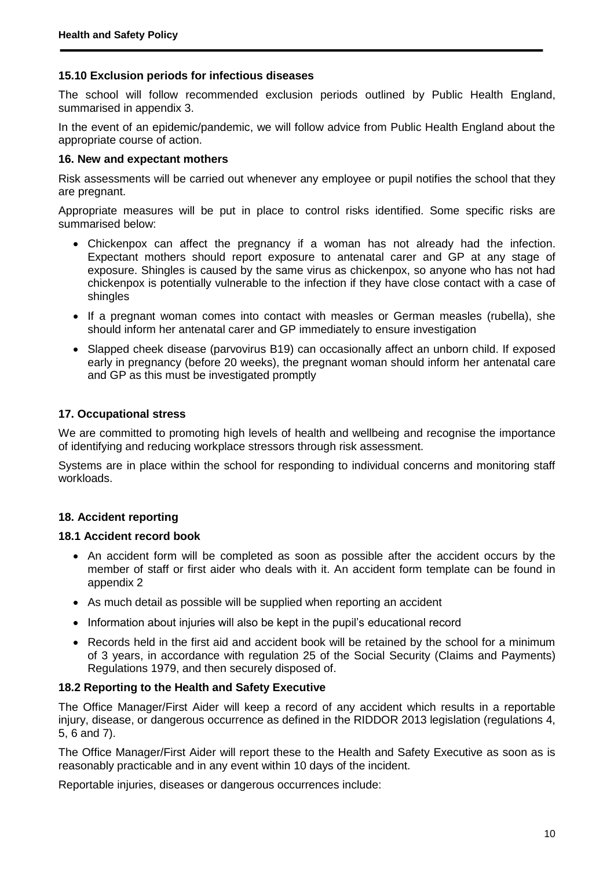#### **15.10 Exclusion periods for infectious diseases**

The school will follow recommended exclusion periods outlined by Public Health England, summarised in appendix 3.

In the event of an epidemic/pandemic, we will follow advice from Public Health England about the appropriate course of action.

#### **16. New and expectant mothers**

Risk assessments will be carried out whenever any employee or pupil notifies the school that they are pregnant.

Appropriate measures will be put in place to control risks identified. Some specific risks are summarised below:

- Chickenpox can affect the pregnancy if a woman has not already had the infection. Expectant mothers should report exposure to antenatal carer and GP at any stage of exposure. Shingles is caused by the same virus as chickenpox, so anyone who has not had chickenpox is potentially vulnerable to the infection if they have close contact with a case of shingles
- If a pregnant woman comes into contact with measles or German measles (rubella), she should inform her antenatal carer and GP immediately to ensure investigation
- Slapped cheek disease (parvovirus B19) can occasionally affect an unborn child. If exposed early in pregnancy (before 20 weeks), the pregnant woman should inform her antenatal care and GP as this must be investigated promptly

#### **17. Occupational stress**

We are committed to promoting high levels of health and wellbeing and recognise the importance of identifying and reducing workplace stressors through risk assessment.

Systems are in place within the school for responding to individual concerns and monitoring staff workloads.

#### **18. Accident reporting**

#### **18.1 Accident record book**

- An accident form will be completed as soon as possible after the accident occurs by the member of staff or first aider who deals with it. An accident form template can be found in appendix 2
- As much detail as possible will be supplied when reporting an accident
- Information about injuries will also be kept in the pupil's educational record
- Records held in the first aid and accident book will be retained by the school for a minimum of 3 years, in accordance with regulation 25 of the Social Security (Claims and Payments) Regulations 1979, and then securely disposed of.

#### **18.2 Reporting to the Health and Safety Executive**

The Office Manager/First Aider will keep a record of any accident which results in a reportable injury, disease, or dangerous occurrence as defined in the RIDDOR 2013 legislation (regulations 4, 5, 6 and 7).

The Office Manager/First Aider will report these to the Health and Safety Executive as soon as is reasonably practicable and in any event within 10 days of the incident.

Reportable injuries, diseases or dangerous occurrences include: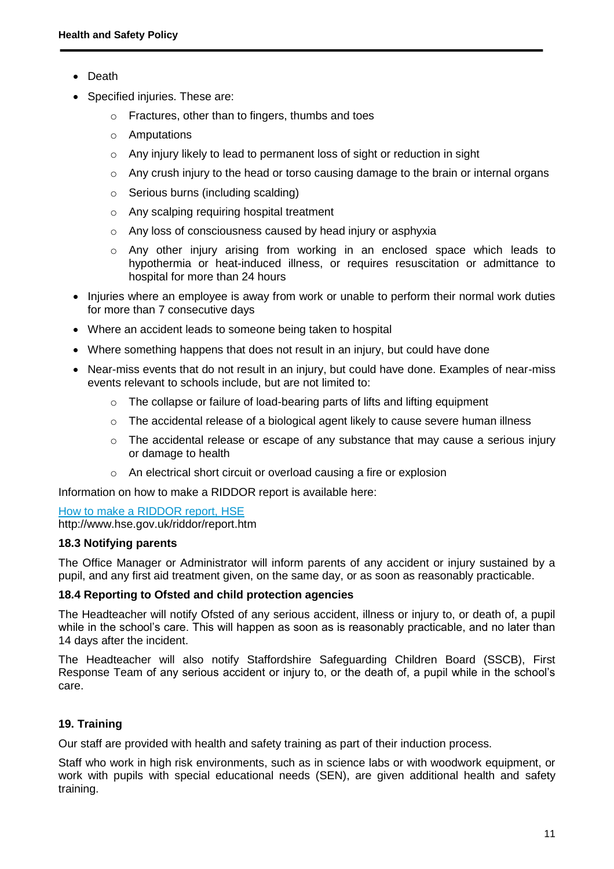- Death
- Specified injuries. These are:
	- o Fractures, other than to fingers, thumbs and toes
	- o Amputations
	- o Any injury likely to lead to permanent loss of sight or reduction in sight
	- $\circ$  Any crush injury to the head or torso causing damage to the brain or internal organs
	- o Serious burns (including scalding)
	- o Any scalping requiring hospital treatment
	- o Any loss of consciousness caused by head injury or asphyxia
	- o Any other injury arising from working in an enclosed space which leads to hypothermia or heat-induced illness, or requires resuscitation or admittance to hospital for more than 24 hours
- Injuries where an employee is away from work or unable to perform their normal work duties for more than 7 consecutive days
- Where an accident leads to someone being taken to hospital
- Where something happens that does not result in an injury, but could have done
- Near-miss events that do not result in an injury, but could have done. Examples of near-miss events relevant to schools include, but are not limited to:
	- o The collapse or failure of load-bearing parts of lifts and lifting equipment
	- o The accidental release of a biological agent likely to cause severe human illness
	- $\circ$  The accidental release or escape of any substance that may cause a serious injury or damage to health
	- o An electrical short circuit or overload causing a fire or explosion

Information on how to make a RIDDOR report is available here:

#### [How to make a RIDDOR report, HSE](http://www.hse.gov.uk/riddor/report.htm) http://www.hse.gov.uk/riddor/report.htm

#### **18.3 Notifying parents**

The Office Manager or Administrator will inform parents of any accident or injury sustained by a pupil, and any first aid treatment given, on the same day, or as soon as reasonably practicable.

#### **18.4 Reporting to Ofsted and child protection agencies**

The Headteacher will notify Ofsted of any serious accident, illness or injury to, or death of, a pupil while in the school's care. This will happen as soon as is reasonably practicable, and no later than 14 days after the incident.

The Headteacher will also notify Staffordshire Safeguarding Children Board (SSCB), First Response Team of any serious accident or injury to, or the death of, a pupil while in the school's care.

## **19. Training**

Our staff are provided with health and safety training as part of their induction process.

Staff who work in high risk environments, such as in science labs or with woodwork equipment, or work with pupils with special educational needs (SEN), are given additional health and safety training.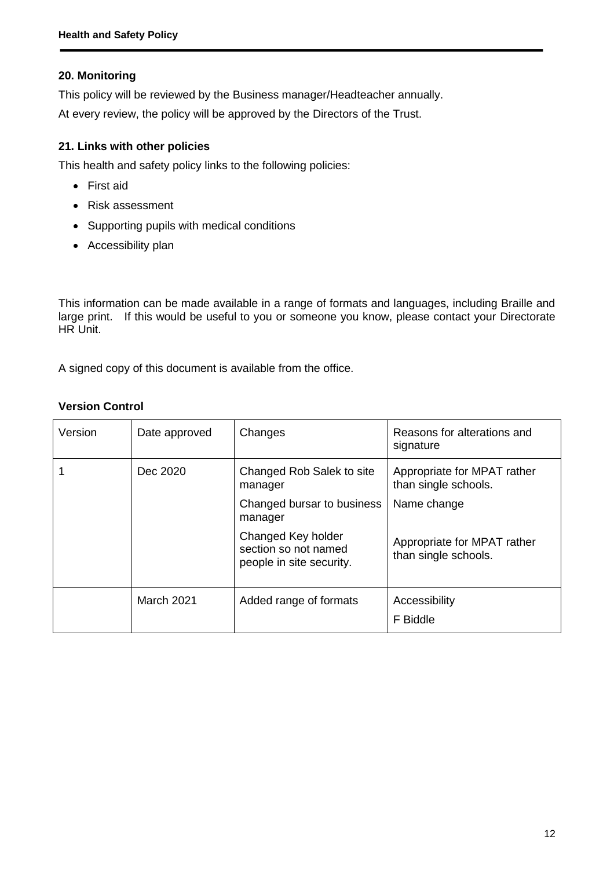# **20. Monitoring**

This policy will be reviewed by the Business manager/Headteacher annually.

At every review, the policy will be approved by the Directors of the Trust.

# **21. Links with other policies**

This health and safety policy links to the following policies:

- First aid
- Risk assessment
- Supporting pupils with medical conditions
- Accessibility plan

This information can be made available in a range of formats and languages, including Braille and large print. If this would be useful to you or someone you know, please contact your Directorate HR Unit.

A signed copy of this document is available from the office.

## **Version Control**

| Version | Date approved     | Changes                                                                | Reasons for alterations and<br>signature            |
|---------|-------------------|------------------------------------------------------------------------|-----------------------------------------------------|
|         | Dec 2020          | Changed Rob Salek to site<br>manager                                   | Appropriate for MPAT rather<br>than single schools. |
|         |                   | Changed bursar to business<br>manager                                  | Name change                                         |
|         |                   | Changed Key holder<br>section so not named<br>people in site security. | Appropriate for MPAT rather<br>than single schools. |
|         | <b>March 2021</b> | Added range of formats                                                 | Accessibility<br>F Biddle                           |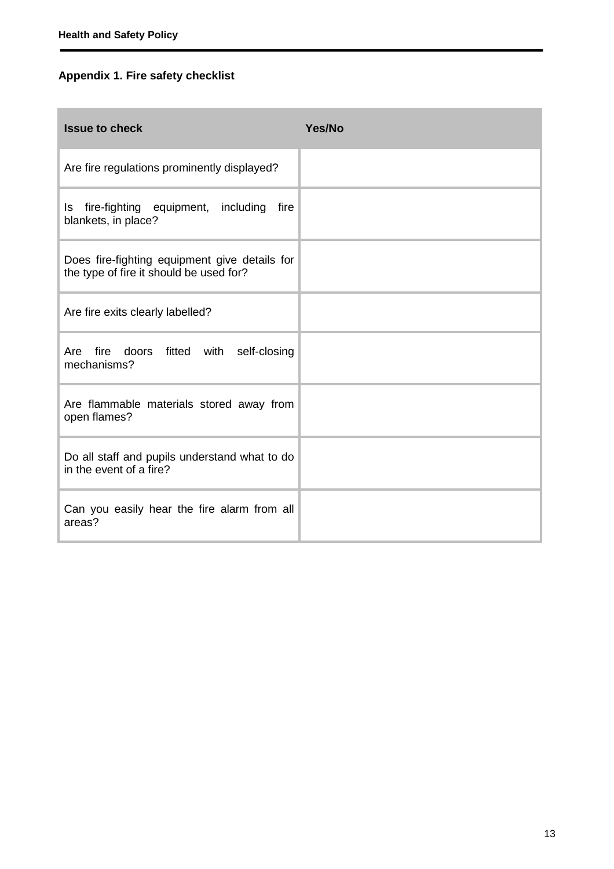# **Appendix 1. Fire safety checklist**

| <b>Issue to check</b>                                                                    | Yes/No |
|------------------------------------------------------------------------------------------|--------|
| Are fire regulations prominently displayed?                                              |        |
| fire-fighting equipment, including<br>fire<br>ls<br>blankets, in place?                  |        |
| Does fire-fighting equipment give details for<br>the type of fire it should be used for? |        |
| Are fire exits clearly labelled?                                                         |        |
| fire doors fitted with<br>self-closing<br>Are<br>mechanisms?                             |        |
| Are flammable materials stored away from<br>open flames?                                 |        |
| Do all staff and pupils understand what to do<br>in the event of a fire?                 |        |
| Can you easily hear the fire alarm from all<br>areas?                                    |        |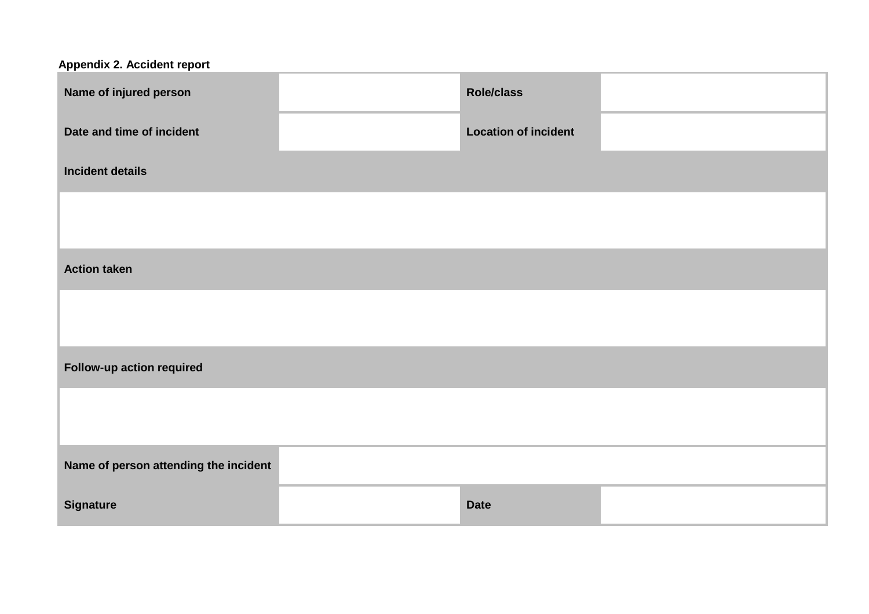| Appendix 2. Accident report           |                             |  |
|---------------------------------------|-----------------------------|--|
| Name of injured person                | Role/class                  |  |
| Date and time of incident             | <b>Location of incident</b> |  |
| <b>Incident details</b>               |                             |  |
|                                       |                             |  |
|                                       |                             |  |
| <b>Action taken</b>                   |                             |  |
|                                       |                             |  |
|                                       |                             |  |
| Follow-up action required             |                             |  |
|                                       |                             |  |
| Name of person attending the incident |                             |  |
| <b>Signature</b>                      | <b>Date</b>                 |  |
|                                       |                             |  |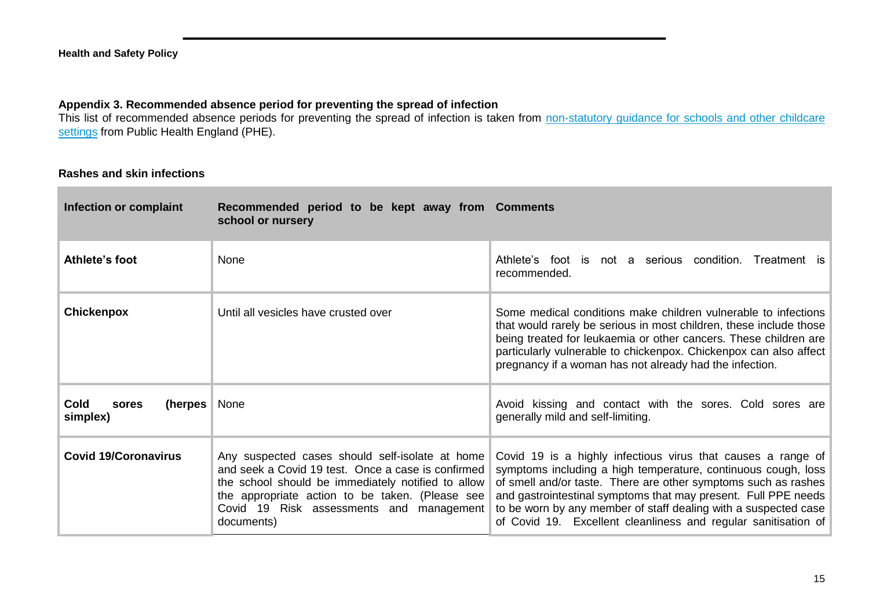### **Appendix 3. Recommended absence period for preventing the spread of infection**

This list of recommended absence periods for preventing the spread of infection is taken from non-statutory guidance for schools and other childcare [settings](https://www.gov.uk/government/uploads/system/uploads/attachment_data/file/522337/Guidance_on_infection_control_in_schools.pdf) from Public Health England (PHE).

#### **Rashes and skin infections**

| Infection or complaint                      | Recommended period to be kept away from Comments<br>school or nursery                                                                                                                                                                                                                |                                                                                                                                                                                                                                                                                                                                                                                                        |
|---------------------------------------------|--------------------------------------------------------------------------------------------------------------------------------------------------------------------------------------------------------------------------------------------------------------------------------------|--------------------------------------------------------------------------------------------------------------------------------------------------------------------------------------------------------------------------------------------------------------------------------------------------------------------------------------------------------------------------------------------------------|
| Athlete's foot                              | None                                                                                                                                                                                                                                                                                 | Athlete's foot is not a serious condition.<br>Treatment is<br>recommended.                                                                                                                                                                                                                                                                                                                             |
| <b>Chickenpox</b>                           | Until all vesicles have crusted over                                                                                                                                                                                                                                                 | Some medical conditions make children vulnerable to infections<br>that would rarely be serious in most children, these include those<br>being treated for leukaemia or other cancers. These children are<br>particularly vulnerable to chickenpox. Chickenpox can also affect<br>pregnancy if a woman has not already had the infection.                                                               |
| <b>Cold</b><br>(herpes<br>sores<br>simplex) | <b>None</b>                                                                                                                                                                                                                                                                          | Avoid kissing and contact with the sores. Cold sores are<br>generally mild and self-limiting.                                                                                                                                                                                                                                                                                                          |
| <b>Covid 19/Coronavirus</b>                 | Any suspected cases should self-isolate at home<br>and seek a Covid 19 test. Once a case is confirmed<br>the school should be immediately notified to allow<br>the appropriate action to be taken. (Please see $\parallel$<br>Covid 19 Risk assessments and management<br>documents) | Covid 19 is a highly infectious virus that causes a range of<br>symptoms including a high temperature, continuous cough, loss<br>of smell and/or taste. There are other symptoms such as rashes<br>and gastrointestinal symptoms that may present. Full PPE needs<br>to be worn by any member of staff dealing with a suspected case<br>of Covid 19. Excellent cleanliness and regular sanitisation of |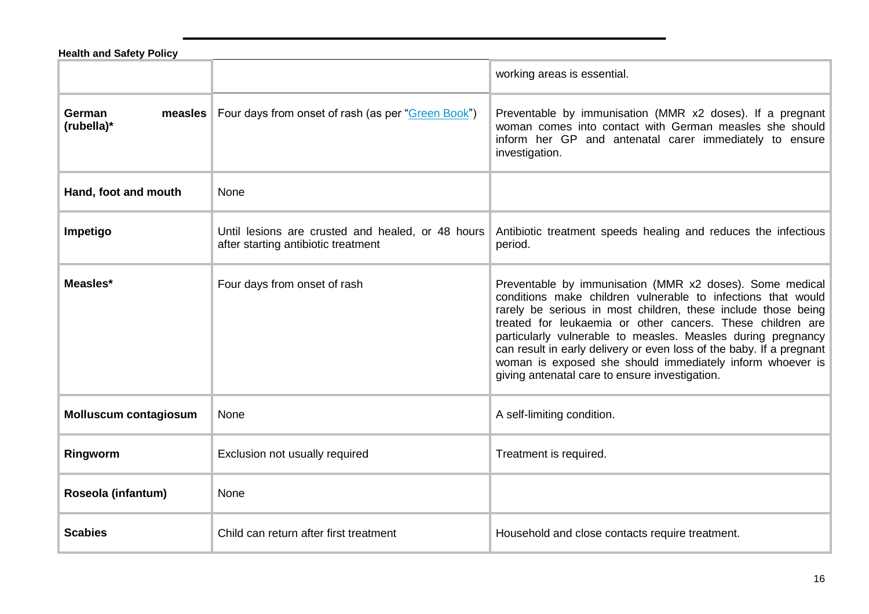| <b>Health and Safety Policy</b> |                                                                                          |                                                                                                                                                                                                                                                                                                                                                                                                                                                                                                                |
|---------------------------------|------------------------------------------------------------------------------------------|----------------------------------------------------------------------------------------------------------------------------------------------------------------------------------------------------------------------------------------------------------------------------------------------------------------------------------------------------------------------------------------------------------------------------------------------------------------------------------------------------------------|
|                                 |                                                                                          | working areas is essential.                                                                                                                                                                                                                                                                                                                                                                                                                                                                                    |
| German<br>measles<br>(rubella)* | Four days from onset of rash (as per "Green Book")                                       | Preventable by immunisation (MMR x2 doses). If a pregnant<br>woman comes into contact with German measles she should<br>inform her GP and antenatal carer immediately to ensure<br>investigation.                                                                                                                                                                                                                                                                                                              |
| Hand, foot and mouth            | None                                                                                     |                                                                                                                                                                                                                                                                                                                                                                                                                                                                                                                |
| Impetigo                        | Until lesions are crusted and healed, or 48 hours<br>after starting antibiotic treatment | Antibiotic treatment speeds healing and reduces the infectious<br>period.                                                                                                                                                                                                                                                                                                                                                                                                                                      |
| Measles*                        | Four days from onset of rash                                                             | Preventable by immunisation (MMR x2 doses). Some medical<br>conditions make children vulnerable to infections that would<br>rarely be serious in most children, these include those being<br>treated for leukaemia or other cancers. These children are<br>particularly vulnerable to measles. Measles during pregnancy<br>can result in early delivery or even loss of the baby. If a pregnant<br>woman is exposed she should immediately inform whoever is<br>giving antenatal care to ensure investigation. |
| <b>Molluscum contagiosum</b>    | None                                                                                     | A self-limiting condition.                                                                                                                                                                                                                                                                                                                                                                                                                                                                                     |
| Ringworm                        | Exclusion not usually required                                                           | Treatment is required.                                                                                                                                                                                                                                                                                                                                                                                                                                                                                         |
| Roseola (infantum)              | None                                                                                     |                                                                                                                                                                                                                                                                                                                                                                                                                                                                                                                |
| <b>Scabies</b>                  | Child can return after first treatment                                                   | Household and close contacts require treatment.                                                                                                                                                                                                                                                                                                                                                                                                                                                                |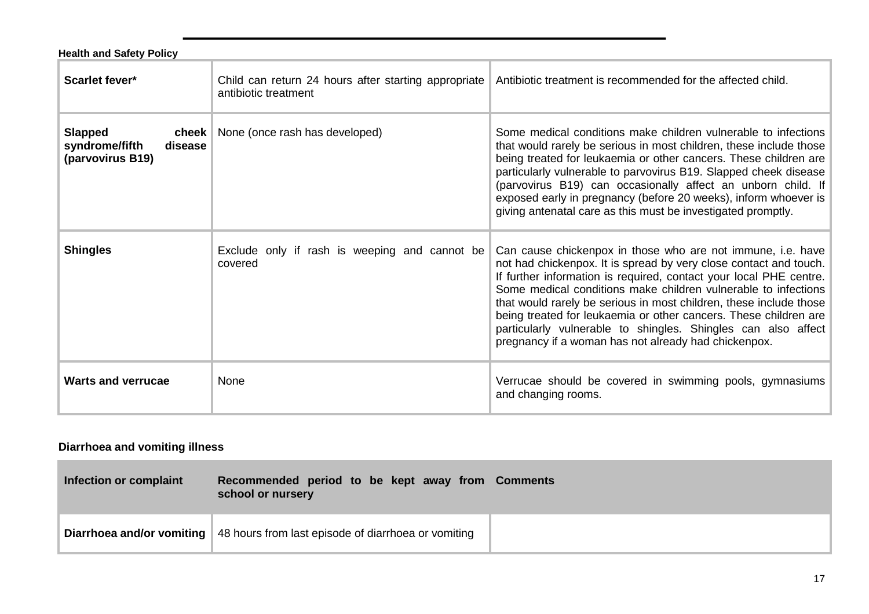| <b>Health and Safety Policy</b>                                          |                                                                              |                                                                                                                                                                                                                                                                                                                                                                                                                                                                                                                                             |
|--------------------------------------------------------------------------|------------------------------------------------------------------------------|---------------------------------------------------------------------------------------------------------------------------------------------------------------------------------------------------------------------------------------------------------------------------------------------------------------------------------------------------------------------------------------------------------------------------------------------------------------------------------------------------------------------------------------------|
| Scarlet fever*                                                           | Child can return 24 hours after starting appropriate<br>antibiotic treatment | Antibiotic treatment is recommended for the affected child.                                                                                                                                                                                                                                                                                                                                                                                                                                                                                 |
| <b>Slapped</b><br>cheek<br>syndrome/fifth<br>disease<br>(parvovirus B19) | None (once rash has developed)                                               | Some medical conditions make children vulnerable to infections<br>that would rarely be serious in most children, these include those<br>being treated for leukaemia or other cancers. These children are<br>particularly vulnerable to parvovirus B19. Slapped cheek disease<br>(parvovirus B19) can occasionally affect an unborn child. If<br>exposed early in pregnancy (before 20 weeks), inform whoever is<br>giving antenatal care as this must be investigated promptly.                                                             |
| <b>Shingles</b>                                                          | Exclude only if rash is weeping and cannot be<br>covered                     | Can cause chickenpox in those who are not immune, i.e. have<br>not had chickenpox. It is spread by very close contact and touch.<br>If further information is required, contact your local PHE centre.<br>Some medical conditions make children vulnerable to infections<br>that would rarely be serious in most children, these include those<br>being treated for leukaemia or other cancers. These children are<br>particularly vulnerable to shingles. Shingles can also affect<br>pregnancy if a woman has not already had chickenpox. |
| <b>Warts and verrucae</b>                                                | None                                                                         | Verrucae should be covered in swimming pools, gymnasiums<br>and changing rooms.                                                                                                                                                                                                                                                                                                                                                                                                                                                             |

# **Diarrhoea and vomiting illness**

m.

| Infection or complaint | Recommended period to be kept away from Comments<br>school or nursery                        |
|------------------------|----------------------------------------------------------------------------------------------|
|                        | <b>Diarrhoea and/or vomiting</b> $\vert$ 48 hours from last episode of diarrhoea or vomiting |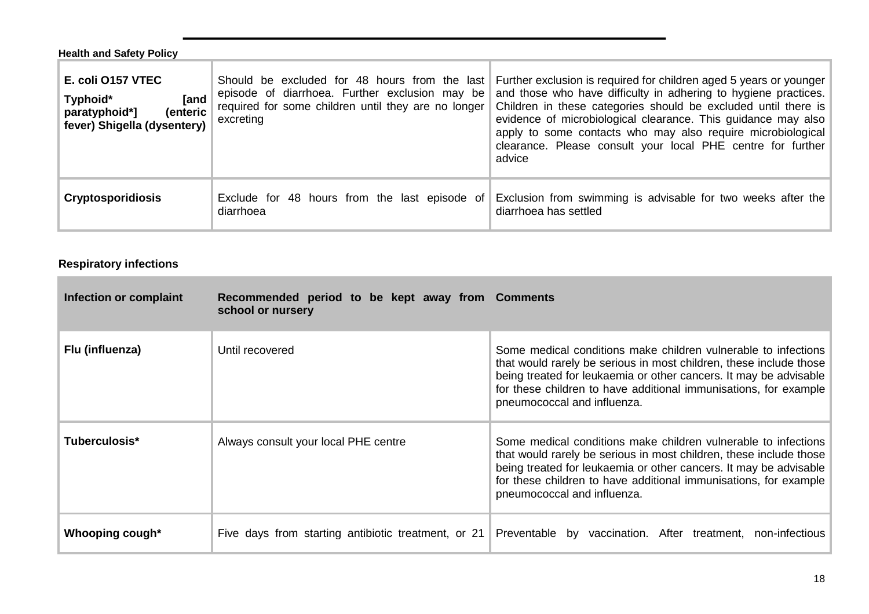| <b>Health and Safety Policy</b>                                                                   |                                                                                                                                                                     |                                                                                                                                                                                                                                                                                                                                                                                                                  |
|---------------------------------------------------------------------------------------------------|---------------------------------------------------------------------------------------------------------------------------------------------------------------------|------------------------------------------------------------------------------------------------------------------------------------------------------------------------------------------------------------------------------------------------------------------------------------------------------------------------------------------------------------------------------------------------------------------|
| E. coli 0157 VTEC<br>[and<br>Typhoid*<br>(enteric<br>paratyphoid*]<br>fever) Shigella (dysentery) | Should be excluded for 48 hours from the last<br>episode of diarrhoea. Further exclusion may be<br>required for some children until they are no longer<br>excreting | Further exclusion is required for children aged 5 years or younger<br>and those who have difficulty in adhering to hygiene practices.<br>Children in these categories should be excluded until there is<br>evidence of microbiological clearance. This guidance may also<br>apply to some contacts who may also require microbiological<br>clearance. Please consult your local PHE centre for further<br>advice |
| <b>Cryptosporidiosis</b>                                                                          | Exclude for 48 hours from the last episode of<br>diarrhoea                                                                                                          | Exclusion from swimming is advisable for two weeks after the<br>diarrhoea has settled                                                                                                                                                                                                                                                                                                                            |

# **Respiratory infections**

m.

| Infection or complaint | Recommended period to be kept away from Comments<br>school or nursery |                                                                                                                                                                                                                                                                                                              |
|------------------------|-----------------------------------------------------------------------|--------------------------------------------------------------------------------------------------------------------------------------------------------------------------------------------------------------------------------------------------------------------------------------------------------------|
| Flu (influenza)        | Until recovered                                                       | Some medical conditions make children vulnerable to infections<br>that would rarely be serious in most children, these include those<br>being treated for leukaemia or other cancers. It may be advisable<br>for these children to have additional immunisations, for example<br>pneumococcal and influenza. |
| Tuberculosis*          | Always consult your local PHE centre                                  | Some medical conditions make children vulnerable to infections<br>that would rarely be serious in most children, these include those<br>being treated for leukaemia or other cancers. It may be advisable<br>for these children to have additional immunisations, for example<br>pneumococcal and influenza. |
| Whooping cough*        |                                                                       | Five days from starting antibiotic treatment, or 21   Preventable by vaccination. After treatment, non-infectious                                                                                                                                                                                            |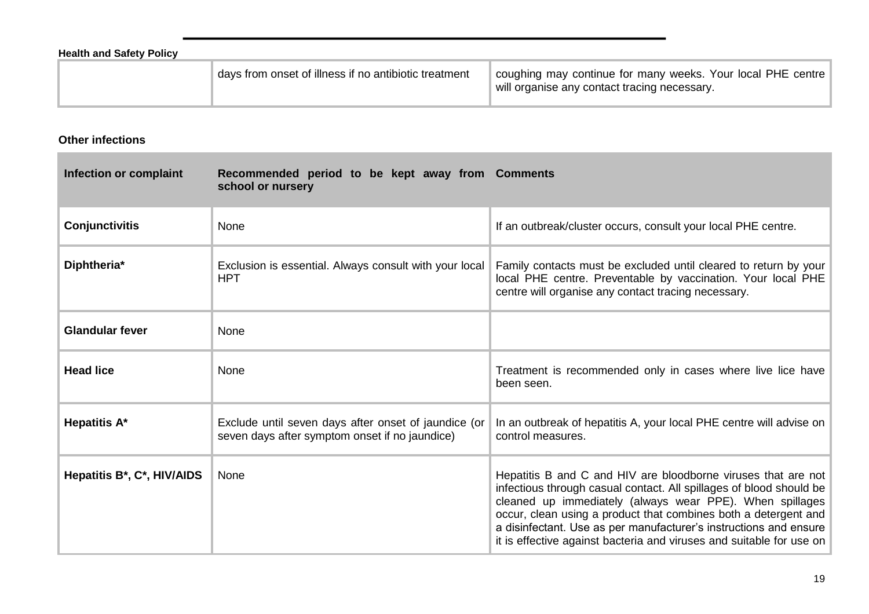| <b>Health and Safety Policy</b> |                                                       |                                                                                                             |
|---------------------------------|-------------------------------------------------------|-------------------------------------------------------------------------------------------------------------|
|                                 | days from onset of illness if no antibiotic treatment | coughing may continue for many weeks. Your local PHE centre<br>will organise any contact tracing necessary. |

**Other infections**

**COL** 

| Infection or complaint     | Recommended period to be kept away from Comments<br>school or nursery                                  |                                                                                                                                                                                                                                                                                                                                                                                                                  |
|----------------------------|--------------------------------------------------------------------------------------------------------|------------------------------------------------------------------------------------------------------------------------------------------------------------------------------------------------------------------------------------------------------------------------------------------------------------------------------------------------------------------------------------------------------------------|
| <b>Conjunctivitis</b>      | None                                                                                                   | If an outbreak/cluster occurs, consult your local PHE centre.                                                                                                                                                                                                                                                                                                                                                    |
| Diphtheria*                | Exclusion is essential. Always consult with your local<br><b>HPT</b>                                   | Family contacts must be excluded until cleared to return by your<br>local PHE centre. Preventable by vaccination. Your local PHE<br>centre will organise any contact tracing necessary.                                                                                                                                                                                                                          |
| <b>Glandular fever</b>     | None                                                                                                   |                                                                                                                                                                                                                                                                                                                                                                                                                  |
| <b>Head lice</b>           | None                                                                                                   | Treatment is recommended only in cases where live lice have<br>been seen.                                                                                                                                                                                                                                                                                                                                        |
| <b>Hepatitis A*</b>        | Exclude until seven days after onset of jaundice (or<br>seven days after symptom onset if no jaundice) | In an outbreak of hepatitis A, your local PHE centre will advise on<br>control measures.                                                                                                                                                                                                                                                                                                                         |
| Hepatitis B*, C*, HIV/AIDS | None                                                                                                   | Hepatitis B and C and HIV are bloodborne viruses that are not<br>infectious through casual contact. All spillages of blood should be<br>cleaned up immediately (always wear PPE). When spillages<br>occur, clean using a product that combines both a detergent and<br>a disinfectant. Use as per manufacturer's instructions and ensure<br>it is effective against bacteria and viruses and suitable for use on |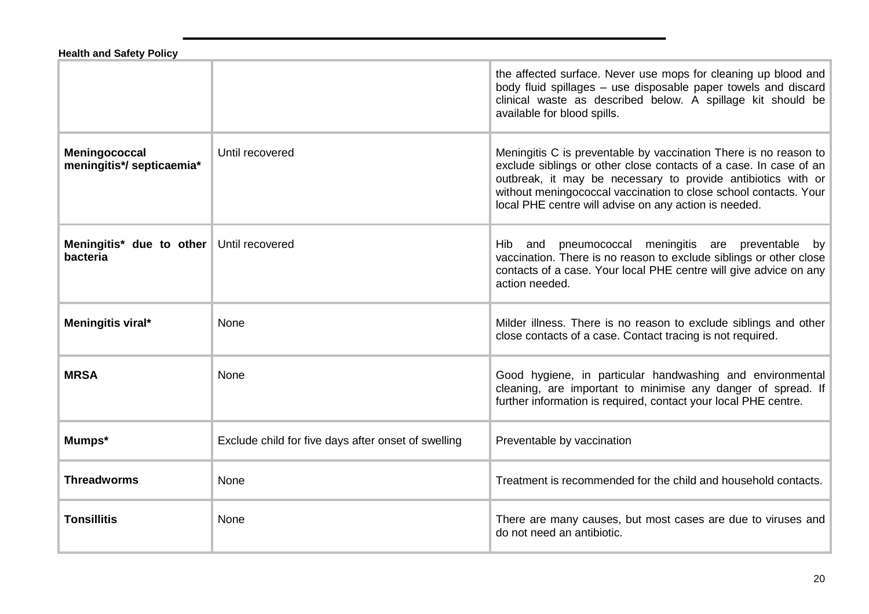#### **Health and Safety Policy**

|                                            |                                                     | the affected surface. Never use mops for cleaning up blood and<br>body fluid spillages - use disposable paper towels and discard<br>clinical waste as described below. A spillage kit should be<br>available for blood spills.                                                                                                     |
|--------------------------------------------|-----------------------------------------------------|------------------------------------------------------------------------------------------------------------------------------------------------------------------------------------------------------------------------------------------------------------------------------------------------------------------------------------|
| Meningococcal<br>meningitis*/ septicaemia* | Until recovered                                     | Meningitis C is preventable by vaccination There is no reason to<br>exclude siblings or other close contacts of a case. In case of an<br>outbreak, it may be necessary to provide antibiotics with or<br>without meningococcal vaccination to close school contacts. Your<br>local PHE centre will advise on any action is needed. |
| Meningitis* due to other<br>bacteria       | Until recovered                                     | pneumococcal meningitis are preventable by<br>Hib and<br>vaccination. There is no reason to exclude siblings or other close<br>contacts of a case. Your local PHE centre will give advice on any<br>action needed.                                                                                                                 |
| Meningitis viral*                          | None                                                | Milder illness. There is no reason to exclude siblings and other<br>close contacts of a case. Contact tracing is not required.                                                                                                                                                                                                     |
| <b>MRSA</b>                                | None                                                | Good hygiene, in particular handwashing and environmental<br>cleaning, are important to minimise any danger of spread. If<br>further information is required, contact your local PHE centre.                                                                                                                                       |
| Mumps*                                     | Exclude child for five days after onset of swelling | Preventable by vaccination                                                                                                                                                                                                                                                                                                         |
| <b>Threadworms</b>                         | None                                                | Treatment is recommended for the child and household contacts.                                                                                                                                                                                                                                                                     |
| <b>Tonsillitis</b>                         | None                                                | There are many causes, but most cases are due to viruses and<br>do not need an antibiotic.                                                                                                                                                                                                                                         |